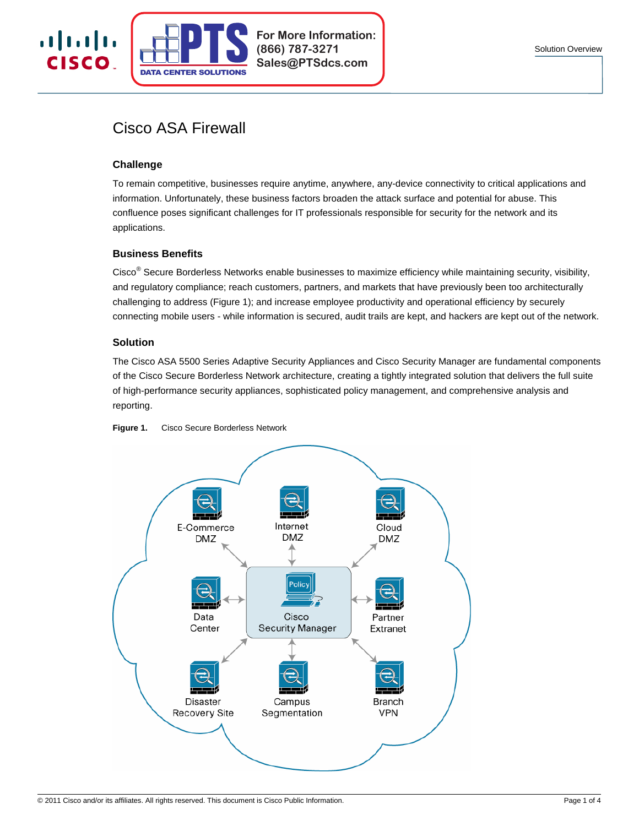

# Cisco ASA Firewall

**CENTER SOLUTIONS** 

# **Challenge**

 $\mathbf{d}$  is the set of  $\mathbf{d}$ **CISCO** 

> To remain competitive, businesses require anytime, anywhere, any-device connectivity to critical applications and information. Unfortunately, these business factors broaden the attack surface and potential for abuse. This confluence poses significant challenges for IT professionals responsible for security for the network and its applications.

**For More Information:**

**(866) 787-3271 Sales@PTSdcs.com**

## **Business Benefits**

Cisco<sup>®</sup> Secure Borderless Networks enable businesses to maximize efficiency while maintaining security, visibility, and regulatory compliance; reach customers, partners, and markets that have previously been too architecturally challenging to address (Figure 1); and increase employee productivity and operational efficiency by securely connecting mobile users - while information is secured, audit trails are kept, and hackers are kept out of the network.

## **Solution**

The Cisco ASA 5500 Series Adaptive Security Appliances and Cisco Security Manager are fundamental components of the Cisco Secure Borderless Network architecture, creating a tightly integrated solution that delivers the full suite of high-performance security appliances, sophisticated policy management, and comprehensive analysis and reporting.



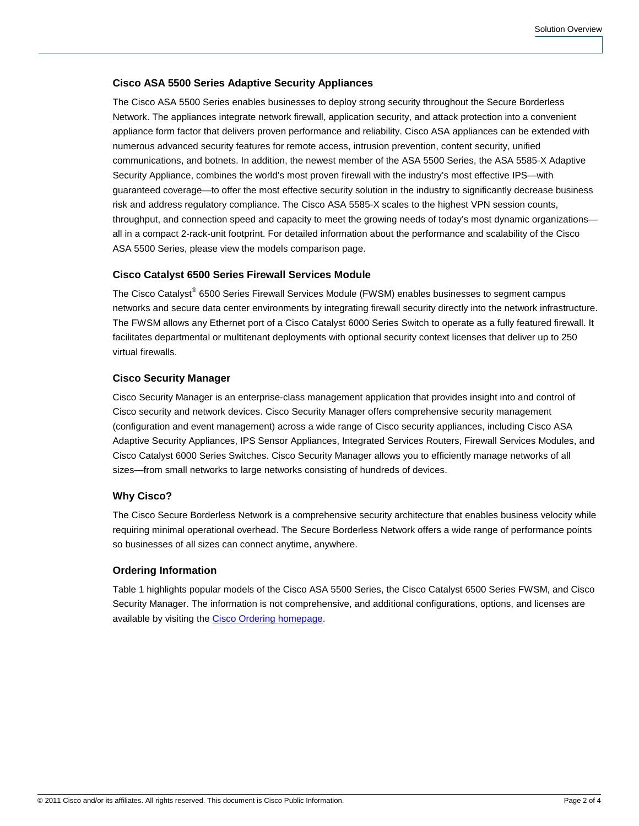## **Cisco ASA 5500 Series Adaptive Security Appliances**

The Cisco ASA 5500 Series enables businesses to deploy strong security throughout the Secure Borderless Network. The appliances integrate network firewall, application security, and attack protection into a convenient appliance form factor that delivers proven performance and reliability. Cisco ASA appliances can be extended with numerous advanced security features for [remote access](http://www.cisco.com/en/US/prod/vpndevc/ps6032/ps6094/ps6120/asa_ssl.html), [intrusion prevention,](http://www.cisco.com/en/US/netsol/ns785/networking_solutions_package.html) [content security](http://www.cisco.com/en/US/prod/vpndevc/ps6032/ps6094/ps6120/asa_css.html), [unified](http://www.cisco.com/en/US/prod/vpndevc/ps6032/ps6094/ps6120/asa_uc.html) [communications](http://www.cisco.com/en/US/prod/vpndevc/ps6032/ps6094/ps6120/asa_uc.html), and [botnets](http://www.cisco.com/en/US/prod/collateral/vpndevc/ps6032/ps6094/ps6120/at_a_glance_c45-530437.pdf). In addition, the newest member of the ASA 5500 Series, the ASA 5585-X Adaptive Security Appliance, combines the world's most proven firewall with the industry's most effective IPS—with guaranteed coverage—to offer the most effective security solution in the industry to significantly decrease business risk and address regulatory compliance. The Cisco ASA 5585-X scales to the highest VPN session counts, throughput, and connection speed and capacity to meet the growing needs of today's most dynamic organizations all in a compact 2-rack-unit footprint. For detailed information about the performance and scalability of the Cisco ASA 5500 Series, please view the [models comparison page](http://www.cisco.com/en/US/products/ps6120/prod_models_comparison.html).

## **Cisco Catalyst 6500 Series Firewall Services Module**

The Cisco Catalyst® 6500 Series Firewall Services Module (FWSM) enables businesses to segment campus networks and secure data center environments by integrating firewall security directly into the network infrastructure. The FWSM allows any Ethernet port of a Cisco Catalyst 6000 Series Switch to operate as a fully featured firewall. It facilitates departmental or multitenant deployments with optional security context licenses that deliver up to 250 virtual firewalls.

## **Cisco Security Manager**

Cisco Security Manager is an enterprise-class management application that provides insight into and control of Cisco security and network devices. Cisco Security Manager offers comprehensive security management (configuration and event management) across a wide range of Cisco security appliances, including Cisco ASA Adaptive Security Appliances, IPS Sensor Appliances, Integrated Services Routers, Firewall Services Modules, and Cisco Catalyst 6000 Series Switches. Cisco Security Manager allows you to efficiently manage networks of all sizes—from small networks to large networks consisting of hundreds of devices.

#### **Why Cisco?**

The Cisco Secure Borderless Network is a comprehensive security architecture that enables business velocity while requiring minimal operational overhead. The Secure Borderless Network offers a wide range of performance points so businesses of all sizes can connect anytime, anywhere.

#### **Ordering Information**

Table 1 highlights popular models of the Cisco ASA 5500 Series, the Cisco Catalyst 6500 Series FWSM, and Cisco Security Manager. The information is not comprehensive, and additional configurations, options, and licenses are available by visiting the [Cisco Ordering homepage](http://www.cisco.com/go/ordering).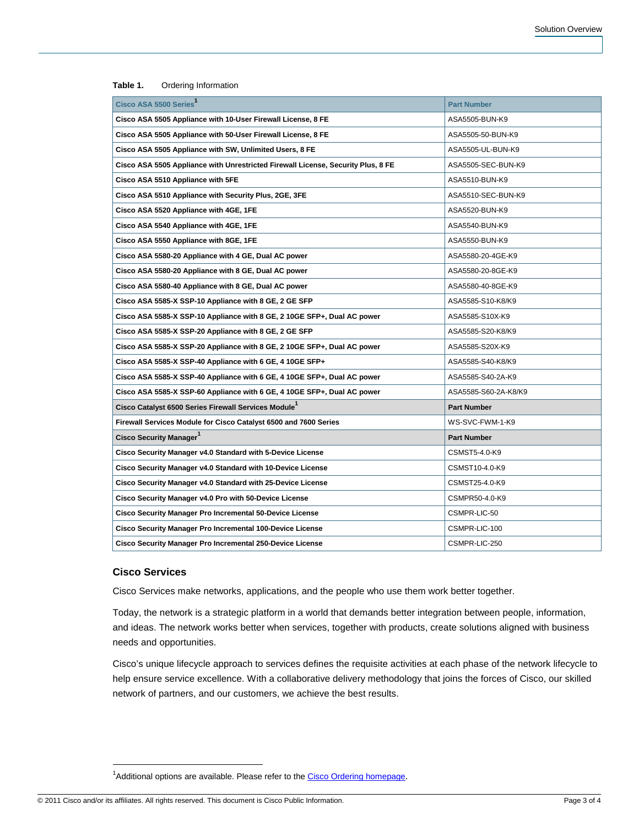| Cisco ASA 5500 Series                                                            | <b>Part Number</b>   |
|----------------------------------------------------------------------------------|----------------------|
| Cisco ASA 5505 Appliance with 10-User Firewall License, 8 FE                     | ASA5505-BUN-K9       |
| Cisco ASA 5505 Appliance with 50-User Firewall License, 8 FE                     | ASA5505-50-BUN-K9    |
| Cisco ASA 5505 Appliance with SW, Unlimited Users, 8 FE                          | ASA5505-UL-BUN-K9    |
| Cisco ASA 5505 Appliance with Unrestricted Firewall License, Security Plus, 8 FE | ASA5505-SEC-BUN-K9   |
| Cisco ASA 5510 Appliance with 5FE                                                | ASA5510-BUN-K9       |
| Cisco ASA 5510 Appliance with Security Plus, 2GE, 3FE                            | ASA5510-SEC-BUN-K9   |
| Cisco ASA 5520 Appliance with 4GE, 1FE                                           | ASA5520-BUN-K9       |
| Cisco ASA 5540 Appliance with 4GE, 1FE                                           | ASA5540-BUN-K9       |
| Cisco ASA 5550 Appliance with 8GE, 1FE                                           | ASA5550-BUN-K9       |
| Cisco ASA 5580-20 Appliance with 4 GE, Dual AC power                             | ASA5580-20-4GE-K9    |
| Cisco ASA 5580-20 Appliance with 8 GE, Dual AC power                             | ASA5580-20-8GE-K9    |
| Cisco ASA 5580-40 Appliance with 8 GE, Dual AC power                             | ASA5580-40-8GE-K9    |
| Cisco ASA 5585-X SSP-10 Appliance with 8 GE, 2 GE SFP                            | ASA5585-S10-K8/K9    |
| Cisco ASA 5585-X SSP-10 Appliance with 8 GE, 2 10GE SFP+, Dual AC power          | ASA5585-S10X-K9      |
| Cisco ASA 5585-X SSP-20 Appliance with 8 GE, 2 GE SFP                            | ASA5585-S20-K8/K9    |
| Cisco ASA 5585-X SSP-20 Appliance with 8 GE, 2 10GE SFP+, Dual AC power          | ASA5585-S20X-K9      |
| Cisco ASA 5585-X SSP-40 Appliance with 6 GE, 4 10GE SFP+                         | ASA5585-S40-K8/K9    |
| Cisco ASA 5585-X SSP-40 Appliance with 6 GE, 4 10GE SFP+, Dual AC power          | ASA5585-S40-2A-K9    |
| Cisco ASA 5585-X SSP-60 Appliance with 6 GE, 4 10GE SFP+, Dual AC power          | ASA5585-S60-2A-K8/K9 |
| Cisco Catalyst 6500 Series Firewall Services Module <sup>1</sup>                 | <b>Part Number</b>   |
| Firewall Services Module for Cisco Catalyst 6500 and 7600 Series                 | WS-SVC-FWM-1-K9      |
| Cisco Security Manager <sup>1</sup>                                              | <b>Part Number</b>   |
| Cisco Security Manager v4.0 Standard with 5-Device License                       | CSMST5-4.0-K9        |
| Cisco Security Manager v4.0 Standard with 10-Device License                      | CSMST10-4.0-K9       |
| Cisco Security Manager v4.0 Standard with 25-Device License                      | CSMST25-4.0-K9       |
| Cisco Security Manager v4.0 Pro with 50-Device License                           | CSMPR50-4.0-K9       |
| <b>Cisco Security Manager Pro Incremental 50-Device License</b>                  | CSMPR-LIC-50         |
| Cisco Security Manager Pro Incremental 100-Device License                        | CSMPR-LIC-100        |
| Cisco Security Manager Pro Incremental 250-Device License                        | CSMPR-LIC-250        |

**Table 1.** Ordering Information

#### **Cisco Services**

 $\overline{a}$ 

Cisco Services make networks, applications, and the people who use them work better together.

Today, the network is a strategic platform in a world that demands better integration between people, information, and ideas. The network works better when services, together with products, create solutions aligned with business needs and opportunities.

Cisco's unique lifecycle approach to services defines the requisite activities at each phase of the network lifecycle to help ensure service excellence. With a collaborative delivery methodology that joins the forces of Cisco, our skilled network of partners, and our customers, we achieve the best results.

<sup>&</sup>lt;sup>1</sup>Additional options are available. Please refer to the Cisco Ordering homepage.